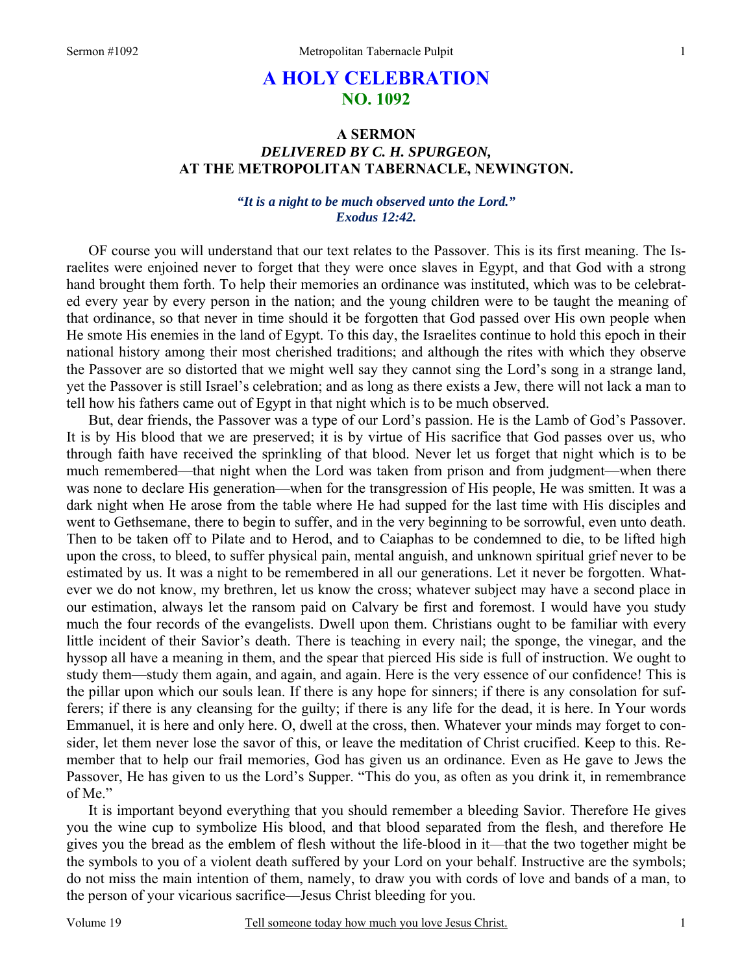# **A HOLY CELEBRATION NO. 1092**

# **A SERMON**  *DELIVERED BY C. H. SPURGEON,* **AT THE METROPOLITAN TABERNACLE, NEWINGTON.**

### *"It is a night to be much observed unto the Lord." Exodus 12:42.*

OF course you will understand that our text relates to the Passover. This is its first meaning. The Israelites were enjoined never to forget that they were once slaves in Egypt, and that God with a strong hand brought them forth. To help their memories an ordinance was instituted, which was to be celebrated every year by every person in the nation; and the young children were to be taught the meaning of that ordinance, so that never in time should it be forgotten that God passed over His own people when He smote His enemies in the land of Egypt. To this day, the Israelites continue to hold this epoch in their national history among their most cherished traditions; and although the rites with which they observe the Passover are so distorted that we might well say they cannot sing the Lord's song in a strange land, yet the Passover is still Israel's celebration; and as long as there exists a Jew, there will not lack a man to tell how his fathers came out of Egypt in that night which is to be much observed.

But, dear friends, the Passover was a type of our Lord's passion. He is the Lamb of God's Passover. It is by His blood that we are preserved; it is by virtue of His sacrifice that God passes over us, who through faith have received the sprinkling of that blood. Never let us forget that night which is to be much remembered—that night when the Lord was taken from prison and from judgment—when there was none to declare His generation—when for the transgression of His people, He was smitten. It was a dark night when He arose from the table where He had supped for the last time with His disciples and went to Gethsemane, there to begin to suffer, and in the very beginning to be sorrowful, even unto death. Then to be taken off to Pilate and to Herod, and to Caiaphas to be condemned to die, to be lifted high upon the cross, to bleed, to suffer physical pain, mental anguish, and unknown spiritual grief never to be estimated by us. It was a night to be remembered in all our generations. Let it never be forgotten. Whatever we do not know, my brethren, let us know the cross; whatever subject may have a second place in our estimation, always let the ransom paid on Calvary be first and foremost. I would have you study much the four records of the evangelists. Dwell upon them. Christians ought to be familiar with every little incident of their Savior's death. There is teaching in every nail; the sponge, the vinegar, and the hyssop all have a meaning in them, and the spear that pierced His side is full of instruction. We ought to study them—study them again, and again, and again. Here is the very essence of our confidence! This is the pillar upon which our souls lean. If there is any hope for sinners; if there is any consolation for sufferers; if there is any cleansing for the guilty; if there is any life for the dead, it is here. In Your words Emmanuel, it is here and only here. O, dwell at the cross, then. Whatever your minds may forget to consider, let them never lose the savor of this, or leave the meditation of Christ crucified. Keep to this. Remember that to help our frail memories, God has given us an ordinance. Even as He gave to Jews the Passover, He has given to us the Lord's Supper. "This do you, as often as you drink it, in remembrance of Me."

It is important beyond everything that you should remember a bleeding Savior. Therefore He gives you the wine cup to symbolize His blood, and that blood separated from the flesh, and therefore He gives you the bread as the emblem of flesh without the life-blood in it—that the two together might be the symbols to you of a violent death suffered by your Lord on your behalf. Instructive are the symbols; do not miss the main intention of them, namely, to draw you with cords of love and bands of a man, to the person of your vicarious sacrifice—Jesus Christ bleeding for you.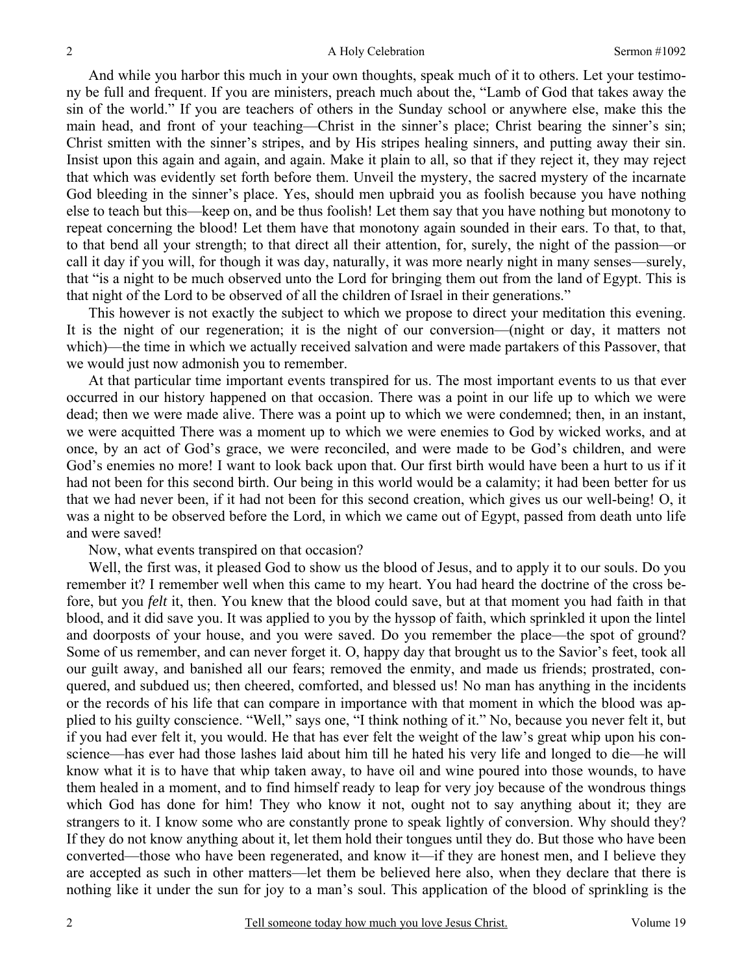And while you harbor this much in your own thoughts, speak much of it to others. Let your testimony be full and frequent. If you are ministers, preach much about the, "Lamb of God that takes away the sin of the world." If you are teachers of others in the Sunday school or anywhere else, make this the main head, and front of your teaching—Christ in the sinner's place; Christ bearing the sinner's sin; Christ smitten with the sinner's stripes, and by His stripes healing sinners, and putting away their sin. Insist upon this again and again, and again. Make it plain to all, so that if they reject it, they may reject that which was evidently set forth before them. Unveil the mystery, the sacred mystery of the incarnate God bleeding in the sinner's place. Yes, should men upbraid you as foolish because you have nothing else to teach but this—keep on, and be thus foolish! Let them say that you have nothing but monotony to repeat concerning the blood! Let them have that monotony again sounded in their ears. To that, to that, to that bend all your strength; to that direct all their attention, for, surely, the night of the passion—or call it day if you will, for though it was day, naturally, it was more nearly night in many senses—surely, that "is a night to be much observed unto the Lord for bringing them out from the land of Egypt. This is that night of the Lord to be observed of all the children of Israel in their generations."

This however is not exactly the subject to which we propose to direct your meditation this evening. It is the night of our regeneration; it is the night of our conversion—(night or day, it matters not which)—the time in which we actually received salvation and were made partakers of this Passover, that we would just now admonish you to remember.

At that particular time important events transpired for us. The most important events to us that ever occurred in our history happened on that occasion. There was a point in our life up to which we were dead; then we were made alive. There was a point up to which we were condemned; then, in an instant, we were acquitted There was a moment up to which we were enemies to God by wicked works, and at once, by an act of God's grace, we were reconciled, and were made to be God's children, and were God's enemies no more! I want to look back upon that. Our first birth would have been a hurt to us if it had not been for this second birth. Our being in this world would be a calamity; it had been better for us that we had never been, if it had not been for this second creation, which gives us our well-being! O, it was a night to be observed before the Lord, in which we came out of Egypt, passed from death unto life and were saved!

Now, what events transpired on that occasion?

Well, the first was, it pleased God to show us the blood of Jesus, and to apply it to our souls. Do you remember it? I remember well when this came to my heart. You had heard the doctrine of the cross before, but you *felt* it, then. You knew that the blood could save, but at that moment you had faith in that blood, and it did save you. It was applied to you by the hyssop of faith, which sprinkled it upon the lintel and doorposts of your house, and you were saved. Do you remember the place—the spot of ground? Some of us remember, and can never forget it. O, happy day that brought us to the Savior's feet, took all our guilt away, and banished all our fears; removed the enmity, and made us friends; prostrated, conquered, and subdued us; then cheered, comforted, and blessed us! No man has anything in the incidents or the records of his life that can compare in importance with that moment in which the blood was applied to his guilty conscience. "Well," says one, "I think nothing of it." No, because you never felt it, but if you had ever felt it, you would. He that has ever felt the weight of the law's great whip upon his conscience—has ever had those lashes laid about him till he hated his very life and longed to die—he will know what it is to have that whip taken away, to have oil and wine poured into those wounds, to have them healed in a moment, and to find himself ready to leap for very joy because of the wondrous things which God has done for him! They who know it not, ought not to say anything about it; they are strangers to it. I know some who are constantly prone to speak lightly of conversion. Why should they? If they do not know anything about it, let them hold their tongues until they do. But those who have been converted—those who have been regenerated, and know it—if they are honest men, and I believe they are accepted as such in other matters—let them be believed here also, when they declare that there is nothing like it under the sun for joy to a man's soul. This application of the blood of sprinkling is the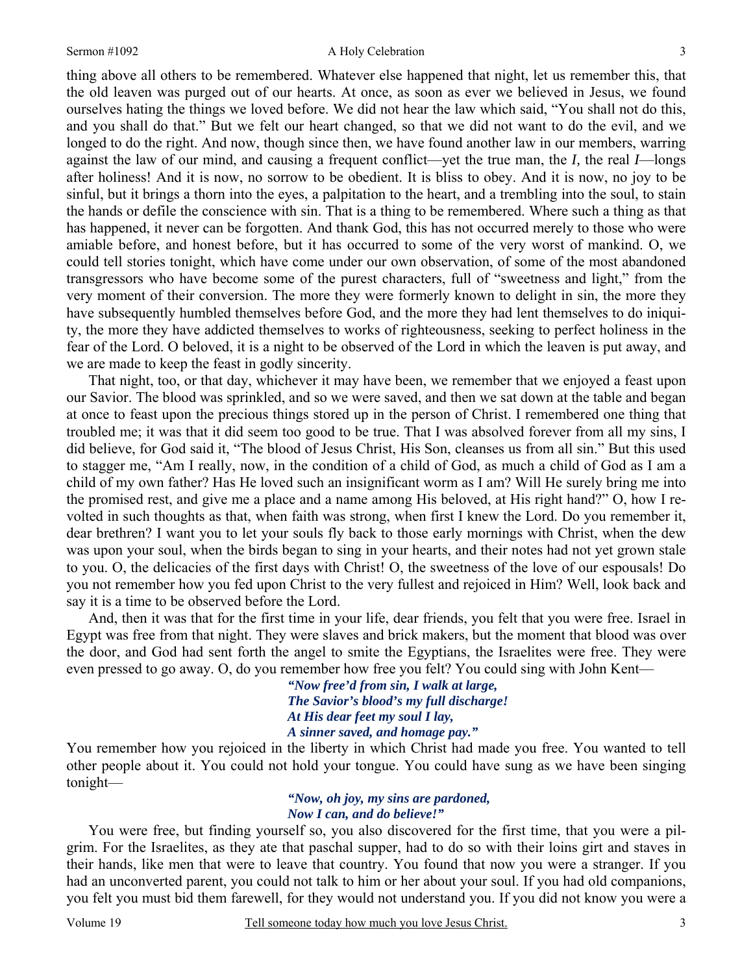#### Sermon #1092 A Holy Celebration

thing above all others to be remembered. Whatever else happened that night, let us remember this, that the old leaven was purged out of our hearts. At once, as soon as ever we believed in Jesus, we found ourselves hating the things we loved before. We did not hear the law which said, "You shall not do this, and you shall do that." But we felt our heart changed, so that we did not want to do the evil, and we longed to do the right. And now, though since then, we have found another law in our members, warring against the law of our mind, and causing a frequent conflict—yet the true man, the *I,* the real *I*—longs after holiness! And it is now, no sorrow to be obedient. It is bliss to obey. And it is now, no joy to be sinful, but it brings a thorn into the eyes, a palpitation to the heart, and a trembling into the soul, to stain the hands or defile the conscience with sin. That is a thing to be remembered. Where such a thing as that has happened, it never can be forgotten. And thank God, this has not occurred merely to those who were amiable before, and honest before, but it has occurred to some of the very worst of mankind. O, we could tell stories tonight, which have come under our own observation, of some of the most abandoned transgressors who have become some of the purest characters, full of "sweetness and light," from the very moment of their conversion. The more they were formerly known to delight in sin, the more they have subsequently humbled themselves before God, and the more they had lent themselves to do iniquity, the more they have addicted themselves to works of righteousness, seeking to perfect holiness in the fear of the Lord. O beloved, it is a night to be observed of the Lord in which the leaven is put away, and we are made to keep the feast in godly sincerity.

That night, too, or that day, whichever it may have been, we remember that we enjoyed a feast upon our Savior. The blood was sprinkled, and so we were saved, and then we sat down at the table and began at once to feast upon the precious things stored up in the person of Christ. I remembered one thing that troubled me; it was that it did seem too good to be true. That I was absolved forever from all my sins, I did believe, for God said it, "The blood of Jesus Christ, His Son, cleanses us from all sin." But this used to stagger me, "Am I really, now, in the condition of a child of God, as much a child of God as I am a child of my own father? Has He loved such an insignificant worm as I am? Will He surely bring me into the promised rest, and give me a place and a name among His beloved, at His right hand?" O, how I revolted in such thoughts as that, when faith was strong, when first I knew the Lord. Do you remember it, dear brethren? I want you to let your souls fly back to those early mornings with Christ, when the dew was upon your soul, when the birds began to sing in your hearts, and their notes had not yet grown stale to you. O, the delicacies of the first days with Christ! O, the sweetness of the love of our espousals! Do you not remember how you fed upon Christ to the very fullest and rejoiced in Him? Well, look back and say it is a time to be observed before the Lord.

And, then it was that for the first time in your life, dear friends, you felt that you were free. Israel in Egypt was free from that night. They were slaves and brick makers, but the moment that blood was over the door, and God had sent forth the angel to smite the Egyptians, the Israelites were free. They were even pressed to go away. O, do you remember how free you felt? You could sing with John Kent—

> *"Now free'd from sin, I walk at large, The Savior's blood's my full discharge! At His dear feet my soul I lay, A sinner saved, and homage pay."*

You remember how you rejoiced in the liberty in which Christ had made you free. You wanted to tell other people about it. You could not hold your tongue. You could have sung as we have been singing tonight—

> *"Now, oh joy, my sins are pardoned, Now I can, and do believe!"*

 You were free, but finding yourself so, you also discovered for the first time, that you were a pilgrim. For the Israelites, as they ate that paschal supper, had to do so with their loins girt and staves in their hands, like men that were to leave that country. You found that now you were a stranger. If you had an unconverted parent, you could not talk to him or her about your soul. If you had old companions, you felt you must bid them farewell, for they would not understand you. If you did not know you were a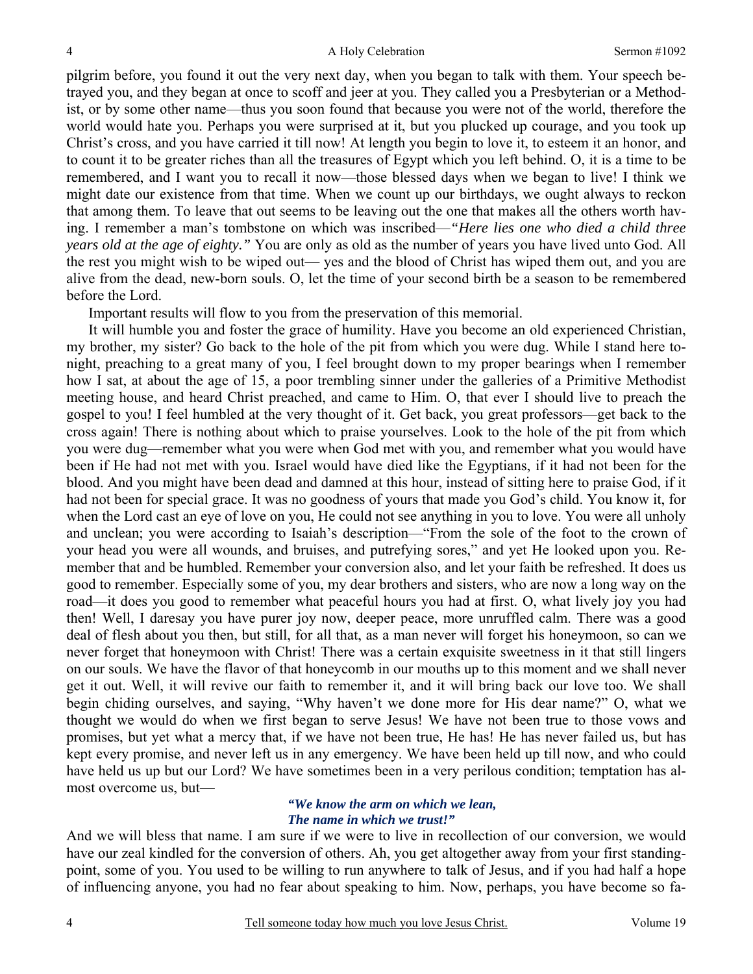pilgrim before, you found it out the very next day, when you began to talk with them. Your speech betrayed you, and they began at once to scoff and jeer at you. They called you a Presbyterian or a Methodist, or by some other name—thus you soon found that because you were not of the world, therefore the world would hate you. Perhaps you were surprised at it, but you plucked up courage, and you took up Christ's cross, and you have carried it till now! At length you begin to love it, to esteem it an honor, and to count it to be greater riches than all the treasures of Egypt which you left behind. O, it is a time to be remembered, and I want you to recall it now—those blessed days when we began to live! I think we might date our existence from that time. When we count up our birthdays, we ought always to reckon that among them. To leave that out seems to be leaving out the one that makes all the others worth having. I remember a man's tombstone on which was inscribed—*"Here lies one who died a child three years old at the age of eighty."* You are only as old as the number of years you have lived unto God. All the rest you might wish to be wiped out— yes and the blood of Christ has wiped them out, and you are alive from the dead, new-born souls. O, let the time of your second birth be a season to be remembered before the Lord.

Important results will flow to you from the preservation of this memorial.

It will humble you and foster the grace of humility. Have you become an old experienced Christian, my brother, my sister? Go back to the hole of the pit from which you were dug. While I stand here tonight, preaching to a great many of you, I feel brought down to my proper bearings when I remember how I sat, at about the age of 15, a poor trembling sinner under the galleries of a Primitive Methodist meeting house, and heard Christ preached, and came to Him. O, that ever I should live to preach the gospel to you! I feel humbled at the very thought of it. Get back, you great professors—get back to the cross again! There is nothing about which to praise yourselves. Look to the hole of the pit from which you were dug—remember what you were when God met with you, and remember what you would have been if He had not met with you. Israel would have died like the Egyptians, if it had not been for the blood. And you might have been dead and damned at this hour, instead of sitting here to praise God, if it had not been for special grace. It was no goodness of yours that made you God's child. You know it, for when the Lord cast an eye of love on you, He could not see anything in you to love. You were all unholy and unclean; you were according to Isaiah's description—"From the sole of the foot to the crown of your head you were all wounds, and bruises, and putrefying sores," and yet He looked upon you. Remember that and be humbled. Remember your conversion also, and let your faith be refreshed. It does us good to remember. Especially some of you, my dear brothers and sisters, who are now a long way on the road—it does you good to remember what peaceful hours you had at first. O, what lively joy you had then! Well, I daresay you have purer joy now, deeper peace, more unruffled calm. There was a good deal of flesh about you then, but still, for all that, as a man never will forget his honeymoon, so can we never forget that honeymoon with Christ! There was a certain exquisite sweetness in it that still lingers on our souls. We have the flavor of that honeycomb in our mouths up to this moment and we shall never get it out. Well, it will revive our faith to remember it, and it will bring back our love too. We shall begin chiding ourselves, and saying, "Why haven't we done more for His dear name?" O, what we thought we would do when we first began to serve Jesus! We have not been true to those vows and promises, but yet what a mercy that, if we have not been true, He has! He has never failed us, but has kept every promise, and never left us in any emergency. We have been held up till now, and who could have held us up but our Lord? We have sometimes been in a very perilous condition; temptation has almost overcome us, but—

### *"We know the arm on which we lean, The name in which we trust!"*

And we will bless that name. I am sure if we were to live in recollection of our conversion, we would have our zeal kindled for the conversion of others. Ah, you get altogether away from your first standingpoint, some of you. You used to be willing to run anywhere to talk of Jesus, and if you had half a hope of influencing anyone, you had no fear about speaking to him. Now, perhaps, you have become so fa-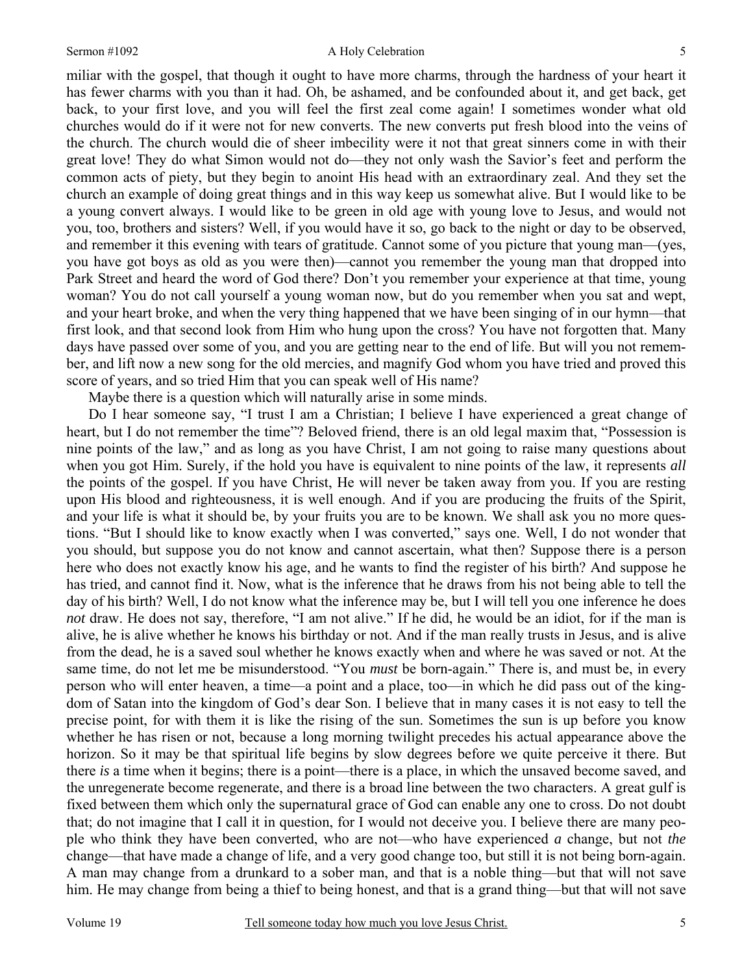#### Sermon #1092 A Holy Celebration

miliar with the gospel, that though it ought to have more charms, through the hardness of your heart it has fewer charms with you than it had. Oh, be ashamed, and be confounded about it, and get back, get back, to your first love, and you will feel the first zeal come again! I sometimes wonder what old churches would do if it were not for new converts. The new converts put fresh blood into the veins of the church. The church would die of sheer imbecility were it not that great sinners come in with their great love! They do what Simon would not do—they not only wash the Savior's feet and perform the common acts of piety, but they begin to anoint His head with an extraordinary zeal. And they set the church an example of doing great things and in this way keep us somewhat alive. But I would like to be a young convert always. I would like to be green in old age with young love to Jesus, and would not you, too, brothers and sisters? Well, if you would have it so, go back to the night or day to be observed, and remember it this evening with tears of gratitude. Cannot some of you picture that young man—(yes, you have got boys as old as you were then)—cannot you remember the young man that dropped into Park Street and heard the word of God there? Don't you remember your experience at that time, young woman? You do not call yourself a young woman now, but do you remember when you sat and wept, and your heart broke, and when the very thing happened that we have been singing of in our hymn—that first look, and that second look from Him who hung upon the cross? You have not forgotten that. Many days have passed over some of you, and you are getting near to the end of life. But will you not remember, and lift now a new song for the old mercies, and magnify God whom you have tried and proved this score of years, and so tried Him that you can speak well of His name?

Maybe there is a question which will naturally arise in some minds.

Do I hear someone say, "I trust I am a Christian; I believe I have experienced a great change of heart, but I do not remember the time"? Beloved friend, there is an old legal maxim that, "Possession is nine points of the law," and as long as you have Christ, I am not going to raise many questions about when you got Him. Surely, if the hold you have is equivalent to nine points of the law, it represents *all*  the points of the gospel. If you have Christ, He will never be taken away from you. If you are resting upon His blood and righteousness, it is well enough. And if you are producing the fruits of the Spirit, and your life is what it should be, by your fruits you are to be known. We shall ask you no more questions. "But I should like to know exactly when I was converted," says one. Well, I do not wonder that you should, but suppose you do not know and cannot ascertain, what then? Suppose there is a person here who does not exactly know his age, and he wants to find the register of his birth? And suppose he has tried, and cannot find it. Now, what is the inference that he draws from his not being able to tell the day of his birth? Well, I do not know what the inference may be, but I will tell you one inference he does *not* draw. He does not say, therefore, "I am not alive." If he did, he would be an idiot, for if the man is alive, he is alive whether he knows his birthday or not. And if the man really trusts in Jesus, and is alive from the dead, he is a saved soul whether he knows exactly when and where he was saved or not. At the same time, do not let me be misunderstood. "You *must* be born-again." There is, and must be, in every person who will enter heaven, a time—a point and a place, too—in which he did pass out of the kingdom of Satan into the kingdom of God's dear Son. I believe that in many cases it is not easy to tell the precise point, for with them it is like the rising of the sun. Sometimes the sun is up before you know whether he has risen or not, because a long morning twilight precedes his actual appearance above the horizon. So it may be that spiritual life begins by slow degrees before we quite perceive it there. But there *is* a time when it begins; there is a point—there is a place, in which the unsaved become saved, and the unregenerate become regenerate, and there is a broad line between the two characters. A great gulf is fixed between them which only the supernatural grace of God can enable any one to cross. Do not doubt that; do not imagine that I call it in question, for I would not deceive you. I believe there are many people who think they have been converted, who are not—who have experienced *a* change, but not *the* change—that have made a change of life, and a very good change too, but still it is not being born-again. A man may change from a drunkard to a sober man, and that is a noble thing—but that will not save him. He may change from being a thief to being honest, and that is a grand thing—but that will not save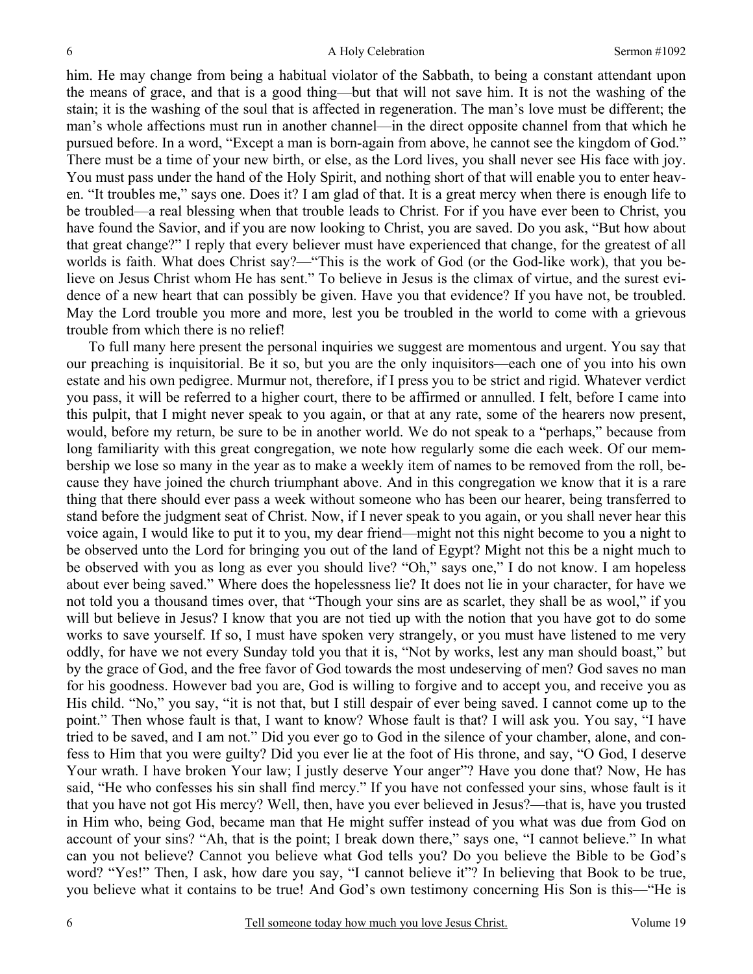him. He may change from being a habitual violator of the Sabbath, to being a constant attendant upon the means of grace, and that is a good thing—but that will not save him. It is not the washing of the stain; it is the washing of the soul that is affected in regeneration. The man's love must be different; the man's whole affections must run in another channel—in the direct opposite channel from that which he pursued before. In a word, "Except a man is born-again from above, he cannot see the kingdom of God." There must be a time of your new birth, or else, as the Lord lives, you shall never see His face with joy. You must pass under the hand of the Holy Spirit, and nothing short of that will enable you to enter heaven. "It troubles me," says one. Does it? I am glad of that. It is a great mercy when there is enough life to be troubled—a real blessing when that trouble leads to Christ. For if you have ever been to Christ, you have found the Savior, and if you are now looking to Christ, you are saved. Do you ask, "But how about that great change?" I reply that every believer must have experienced that change, for the greatest of all worlds is faith. What does Christ say?—"This is the work of God (or the God-like work), that you believe on Jesus Christ whom He has sent." To believe in Jesus is the climax of virtue, and the surest evidence of a new heart that can possibly be given. Have you that evidence? If you have not, be troubled. May the Lord trouble you more and more, lest you be troubled in the world to come with a grievous trouble from which there is no relief!

To full many here present the personal inquiries we suggest are momentous and urgent. You say that our preaching is inquisitorial. Be it so, but you are the only inquisitors—each one of you into his own estate and his own pedigree. Murmur not, therefore, if I press you to be strict and rigid. Whatever verdict you pass, it will be referred to a higher court, there to be affirmed or annulled. I felt, before I came into this pulpit, that I might never speak to you again, or that at any rate, some of the hearers now present, would, before my return, be sure to be in another world. We do not speak to a "perhaps," because from long familiarity with this great congregation, we note how regularly some die each week. Of our membership we lose so many in the year as to make a weekly item of names to be removed from the roll, because they have joined the church triumphant above. And in this congregation we know that it is a rare thing that there should ever pass a week without someone who has been our hearer, being transferred to stand before the judgment seat of Christ. Now, if I never speak to you again, or you shall never hear this voice again, I would like to put it to you, my dear friend—might not this night become to you a night to be observed unto the Lord for bringing you out of the land of Egypt? Might not this be a night much to be observed with you as long as ever you should live? "Oh," says one," I do not know. I am hopeless about ever being saved." Where does the hopelessness lie? It does not lie in your character, for have we not told you a thousand times over, that "Though your sins are as scarlet, they shall be as wool," if you will but believe in Jesus? I know that you are not tied up with the notion that you have got to do some works to save yourself. If so, I must have spoken very strangely, or you must have listened to me very oddly, for have we not every Sunday told you that it is, "Not by works, lest any man should boast," but by the grace of God, and the free favor of God towards the most undeserving of men? God saves no man for his goodness. However bad you are, God is willing to forgive and to accept you, and receive you as His child. "No," you say, "it is not that, but I still despair of ever being saved. I cannot come up to the point." Then whose fault is that, I want to know? Whose fault is that? I will ask you. You say, "I have tried to be saved, and I am not." Did you ever go to God in the silence of your chamber, alone, and confess to Him that you were guilty? Did you ever lie at the foot of His throne, and say, "O God, I deserve Your wrath. I have broken Your law; I justly deserve Your anger"? Have you done that? Now, He has said, "He who confesses his sin shall find mercy." If you have not confessed your sins, whose fault is it that you have not got His mercy? Well, then, have you ever believed in Jesus?—that is, have you trusted in Him who, being God, became man that He might suffer instead of you what was due from God on account of your sins? "Ah, that is the point; I break down there," says one, "I cannot believe." In what can you not believe? Cannot you believe what God tells you? Do you believe the Bible to be God's word? "Yes!" Then, I ask, how dare you say, "I cannot believe it"? In believing that Book to be true, you believe what it contains to be true! And God's own testimony concerning His Son is this—"He is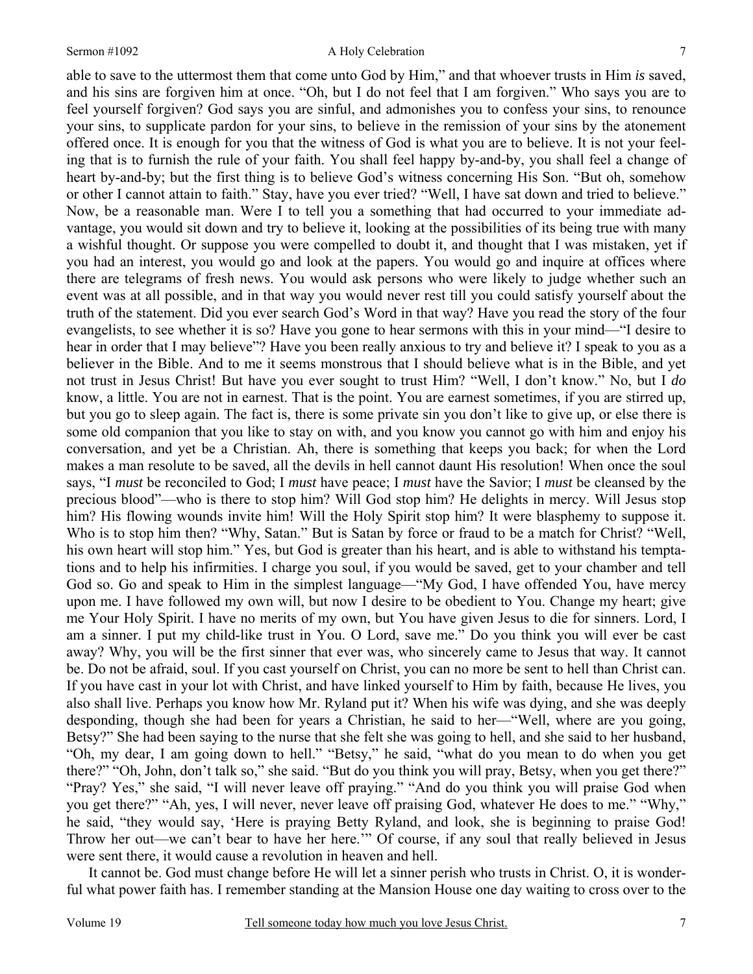#### Sermon #1092 A Holy Celebration

able to save to the uttermost them that come unto God by Him," and that whoever trusts in Him *is* saved, and his sins are forgiven him at once. "Oh, but I do not feel that I am forgiven." Who says you are to feel yourself forgiven? God says you are sinful, and admonishes you to confess your sins, to renounce your sins, to supplicate pardon for your sins, to believe in the remission of your sins by the atonement offered once. It is enough for you that the witness of God is what you are to believe. It is not your feeling that is to furnish the rule of your faith. You shall feel happy by-and-by, you shall feel a change of heart by-and-by; but the first thing is to believe God's witness concerning His Son. "But oh, somehow or other I cannot attain to faith." Stay, have you ever tried? "Well, I have sat down and tried to believe." Now, be a reasonable man. Were I to tell you a something that had occurred to your immediate advantage, you would sit down and try to believe it, looking at the possibilities of its being true with many a wishful thought. Or suppose you were compelled to doubt it, and thought that I was mistaken, yet if you had an interest, you would go and look at the papers. You would go and inquire at offices where there are telegrams of fresh news. You would ask persons who were likely to judge whether such an event was at all possible, and in that way you would never rest till you could satisfy yourself about the truth of the statement. Did you ever search God's Word in that way? Have you read the story of the four evangelists, to see whether it is so? Have you gone to hear sermons with this in your mind—"I desire to hear in order that I may believe"? Have you been really anxious to try and believe it? I speak to you as a believer in the Bible. And to me it seems monstrous that I should believe what is in the Bible, and yet not trust in Jesus Christ! But have you ever sought to trust Him? "Well, I don't know." No, but I *do* know, a little. You are not in earnest. That is the point. You are earnest sometimes, if you are stirred up, but you go to sleep again. The fact is, there is some private sin you don't like to give up, or else there is some old companion that you like to stay on with, and you know you cannot go with him and enjoy his conversation, and yet be a Christian. Ah, there is something that keeps you back; for when the Lord makes a man resolute to be saved, all the devils in hell cannot daunt His resolution! When once the soul says, "I *must* be reconciled to God; I *must* have peace; I *must* have the Savior; I *must* be cleansed by the precious blood"—who is there to stop him? Will God stop him? He delights in mercy. Will Jesus stop him? His flowing wounds invite him! Will the Holy Spirit stop him? It were blasphemy to suppose it. Who is to stop him then? "Why, Satan." But is Satan by force or fraud to be a match for Christ? "Well, his own heart will stop him." Yes, but God is greater than his heart, and is able to withstand his temptations and to help his infirmities. I charge you soul, if you would be saved, get to your chamber and tell God so. Go and speak to Him in the simplest language—"My God, I have offended You, have mercy upon me. I have followed my own will, but now I desire to be obedient to You. Change my heart; give me Your Holy Spirit. I have no merits of my own, but You have given Jesus to die for sinners. Lord, I am a sinner. I put my child-like trust in You. O Lord, save me." Do you think you will ever be cast away? Why, you will be the first sinner that ever was, who sincerely came to Jesus that way. It cannot be. Do not be afraid, soul. If you cast yourself on Christ, you can no more be sent to hell than Christ can. If you have cast in your lot with Christ, and have linked yourself to Him by faith, because He lives, you also shall live. Perhaps you know how Mr. Ryland put it? When his wife was dying, and she was deeply desponding, though she had been for years a Christian, he said to her—"Well, where are you going, Betsy?" She had been saying to the nurse that she felt she was going to hell, and she said to her husband, "Oh, my dear, I am going down to hell." "Betsy," he said, "what do you mean to do when you get there?" "Oh, John, don't talk so," she said. "But do you think you will pray, Betsy, when you get there?" "Pray? Yes," she said, "I will never leave off praying." "And do you think you will praise God when you get there?" "Ah, yes, I will never, never leave off praising God, whatever He does to me." "Why," he said, "they would say, 'Here is praying Betty Ryland, and look, she is beginning to praise God! Throw her out—we can't bear to have her here.'" Of course, if any soul that really believed in Jesus were sent there, it would cause a revolution in heaven and hell.

It cannot be. God must change before He will let a sinner perish who trusts in Christ. O, it is wonderful what power faith has. I remember standing at the Mansion House one day waiting to cross over to the